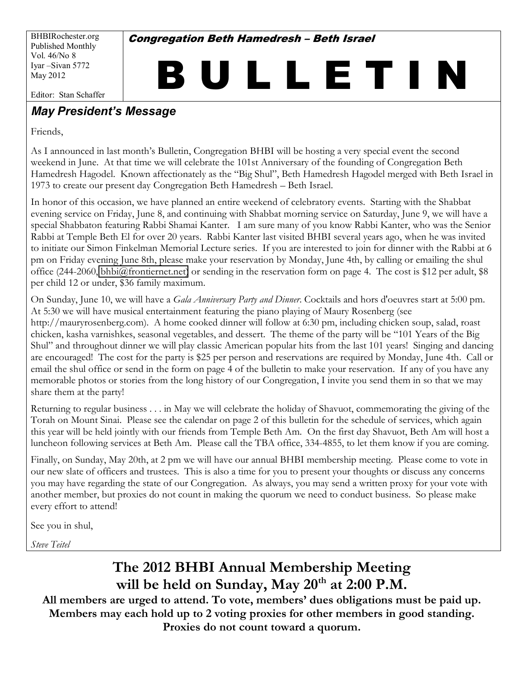BHBIRochester.org Published Monthly Vol. 46/No 8 Iyar -Sivan 5772 May 2012

**Congregation Beth Hamedresh - Beth Israel** 

B U L L E T I N

Editor: Stan Schaffer

## *May President's Message*

Friends,

As I announced in last month's Bulletin, Congregation BHBI will be hosting a very special event the second weekend in June. At that time we will celebrate the 101st Anniversary of the founding of Congregation Beth Hamedresh Hagodel. Known affectionately as the "Big Shul", Beth Hamedresh Hagodel merged with Beth Israel in 1973 to create our present day Congregation Beth Hamedresh – Beth Israel.

In honor of this occasion, we have planned an entire weekend of celebratory events. Starting with the Shabbat evening service on Friday, June 8, and continuing with Shabbat morning service on Saturday, June 9, we will have a special Shabbaton featuring Rabbi Shamai Kanter. I am sure many of you know Rabbi Kanter, who was the Senior Rabbi at Temple Beth El for over 20 years. Rabbi Kanter last visited BHBI several years ago, when he was invited to initiate our Simon Finkelman Memorial Lecture series. If you are interested to join for dinner with the Rabbi at 6 pm on Friday evening June 8th, please make your reservation by Monday, June 4th, by calling or emailing the shul office (244-2060, [bhbi@frontiernet.net\)](mailto:bhbi@frontiernet.net) or sending in the reservation form on page 4. The cost is \$12 per adult, \$8 per child 12 or under, \$36 family maximum.

On Sunday, June 10, we will have a *Gala Anniversary Party and Dinner*. Cocktails and hors d'oeuvres start at 5:00 pm. At 5:30 we will have musical entertainment featuring the piano playing of Maury Rosenberg (see http://mauryrosenberg.com). A home cooked dinner will follow at 6:30 pm, including chicken soup, salad, roast chicken, kasha varnishkes, seasonal vegetables, and dessert. The theme of the party will be "101 Years of the Big Shul" and throughout dinner we will play classic American popular hits from the last 101 years! Singing and dancing are encouraged! The cost for the party is \$25 per person and reservations are required by Monday, June 4th. Call or email the shul office or send in the form on page 4 of the bulletin to make your reservation. If any of you have any memorable photos or stories from the long history of our Congregation, I invite you send them in so that we may share them at the party!

Returning to regular business . . . in May we will celebrate the holiday of Shavuot, commemorating the giving of the Torah on Mount Sinai. Please see the calendar on page 2 of this bulletin for the schedule of services, which again this year will be held jointly with our friends from Temple Beth Am. On the first day Shavuot, Beth Am will host a luncheon following services at Beth Am. Please call the TBA office, 334-4855, to let them know if you are coming.

Finally, on Sunday, May 20th, at 2 pm we will have our annual BHBI membership meeting. Please come to vote in our new slate of officers and trustees. This is also a time for you to present your thoughts or discuss any concerns you may have regarding the state of our Congregation. As always, you may send a written proxy for your vote with another member, but proxies do not count in making the quorum we need to conduct business. So please make every effort to attend!

See you in shul,

*Steve Teitel*

# **The 2012 BHBI Annual Membership Meeting**  will be held on Sunday, May 20<sup>th</sup> at 2:00 P.M.

All members are urged to attend. To vote, members' dues obligations must be paid up. **Members may each hold up to 2 voting proxies for other members in good standing. Proxies do not count toward a quorum.**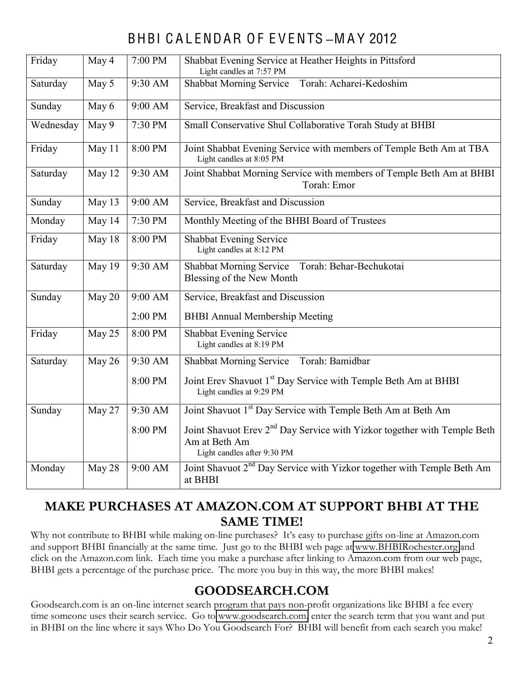# BHBI C A L ENDAR O F E V ENTS **±**M A Y 2012

| Friday    | May 4  | 7:00 PM   | Shabbat Evening Service at Heather Heights in Pittsford<br>Light candles at 7:57 PM                    |  |  |  |
|-----------|--------|-----------|--------------------------------------------------------------------------------------------------------|--|--|--|
| Saturday  | May 5  | 9:30 AM   | Shabbat Morning Service Torah: Acharei-Kedoshim                                                        |  |  |  |
| Sunday    | May 6  | $9:00$ AM | Service, Breakfast and Discussion                                                                      |  |  |  |
| Wednesday | May 9  | 7:30 PM   | Small Conservative Shul Collaborative Torah Study at BHBI                                              |  |  |  |
| Friday    | May 11 | 8:00 PM   | Joint Shabbat Evening Service with members of Temple Beth Am at TBA<br>Light candles at 8:05 PM        |  |  |  |
| Saturday  | May 12 | 9:30 AM   | Joint Shabbat Morning Service with members of Temple Beth Am at BHBI<br>Torah: Emor                    |  |  |  |
| Sunday    | May 13 | $9:00$ AM | Service, Breakfast and Discussion                                                                      |  |  |  |
| Monday    | May 14 | 7:30 PM   | Monthly Meeting of the BHBI Board of Trustees                                                          |  |  |  |
| Friday    | May 18 | 8:00 PM   | <b>Shabbat Evening Service</b><br>Light candles at 8:12 PM                                             |  |  |  |
| Saturday  | May 19 | 9:30 AM   | Shabbat Morning Service Torah: Behar-Bechukotai<br>Blessing of the New Month                           |  |  |  |
| Sunday    | May 20 | 9:00 AM   | Service, Breakfast and Discussion                                                                      |  |  |  |
|           |        | 2:00 PM   | <b>BHBI Annual Membership Meeting</b>                                                                  |  |  |  |
| Friday    | May 25 | 8:00 PM   | Shabbat Evening Service<br>Light candles at 8:19 PM                                                    |  |  |  |
| Saturday  | May 26 | 9:30 AM   | Torah: Bamidbar<br><b>Shabbat Morning Service</b>                                                      |  |  |  |
|           |        | 8:00 PM   | Joint Erev Shavuot 1 <sup>st</sup> Day Service with Temple Beth Am at BHBI<br>Light candles at 9:29 PM |  |  |  |
| Sunday    | May 27 | 9:30 AM   | Joint Shavuot 1 <sup>st</sup> Day Service with Temple Beth Am at Beth Am                               |  |  |  |
|           |        | 8:00 PM   | Joint Shavuot Erev 2 <sup>nd</sup> Day Service with Yizkor together with Temple Beth                   |  |  |  |
|           |        |           | Am at Beth Am<br>Light candles after 9:30 PM                                                           |  |  |  |
| Monday    | May 28 | 9:00 AM   | Joint Shavuot 2 <sup>nd</sup> Day Service with Yizkor together with Temple Beth Am<br>at BHBI          |  |  |  |

## **MAKE PURCHASES AT AMAZON.COM AT SUPPORT BHBI AT THE SAME TIME!**

Why not contribute to BHBI while making on-line purchases? It's easy to purchase gifts on-line at Amazon.com and support BHBI financially at the same time. Just go to the BHBI web page at [www.BHBIRochester.org](http://www.bhbirochester.org/) and click on the Amazon.com link. Each time you make a purchase after linking to Amazon.com from our web page, BHBI gets a percentage of the purchase price. The more you buy in this way, the more BHBI makes!

## **GOODSEARCH.COM**

Goodsearch.com is an on-line internet search program that pays non-profit organizations like BHBI a fee every time someone uses their search service. Go to [www.goodsearch.com,](http://www.goodsearch.com/) enter the search term that you want and put in BHBI on the line where it says Who Do You Goodsearch For? BHBI will benefit from each search you make!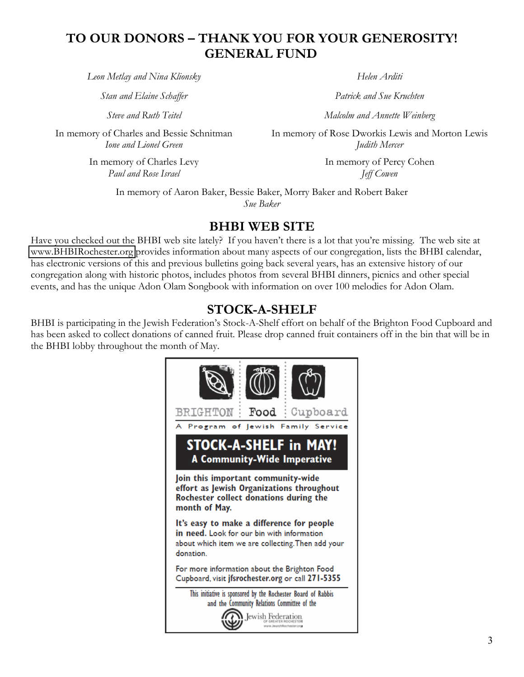## **TO OUR DONORS ² THANK YOU FOR YOUR GENEROSITY! GENERAL FUND**

*Leon Metlay and Nina Klionsky Helen Arditi*

*Stan and Elaine Schaffer Patrick and Sue Kruchten*

In memory of Charles and Bessie Schnitman *Ione and Lionel Green*

> In memory of Charles Levy *Paul and Rose Israel*

*Steve and Ruth Teitel Malcolm and Annette Weinberg*

In memory of Rose Dworkis Lewis and Morton Lewis *Judith Mercer*

> In memory of Percy Cohen *Jeff Cowen*

In memory of Aaron Baker, Bessie Baker, Morry Baker and Robert Baker *Sue Baker*

#### **BHBI WEB SITE**

Have you checked out the BHBI web site lately? If you haven't there is a lot that you're missing. The web site at [www.BHBIRochester.org](http://www.bhbirochester.org/) provides information about many aspects of our congregation, lists the BHBI calendar, has electronic versions of this and previous bulletins going back several years, has an extensive history of our congregation along with historic photos, includes photos from several BHBI dinners, picnics and other special events, and has the unique Adon Olam Songbook with information on over 100 melodies for Adon Olam.

## **STOCK-A-SHELF**

BHBI is participating in the Jewish Federation's Stock-A-Shelf effort on behalf of the Brighton Food Cupboard and has been asked to collect donations of canned fruit. Please drop canned fruit containers off in the bin that will be in the BHBI lobby throughout the month of May.

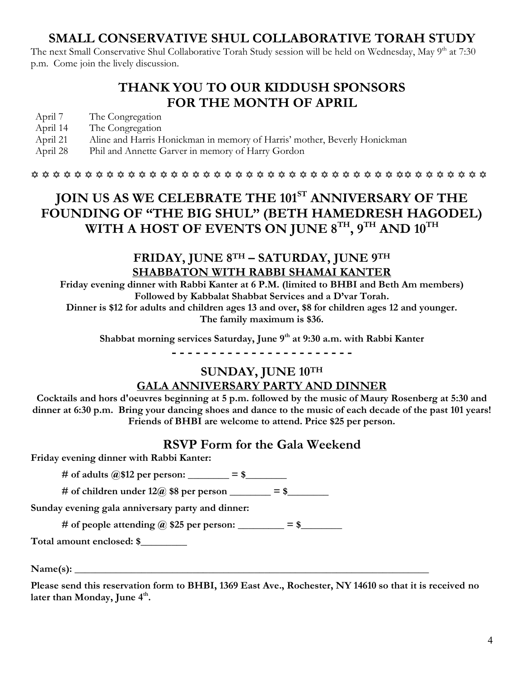## **SMALL CONSERVATIVE SHUL COLLABORATIVE TORAH STUDY**

The next Small Conservative Shul Collaborative Torah Study session will be held on Wednesday, May 9<sup>th</sup> at 7:30 p.m. Come join the lively discussion.

## **THANK YOU TO OUR KIDDUSH SPONSORS FOR THE MONTH OF APRIL**

- April 7 The Congregation
- April 14 The Congregation
- April 21 Aline and Harris Honickman in memory of Harris' mother, Beverly Honickman
- April 28 Phil and Annette Garver in memory of Harry Gordon

 $\hskip111pt$   $\hskip11pt$   $\hskip11pt$   $\hskip11pt$   $\hskip11pt$   $\hskip11pt$   $\hskip11pt$   $\hskip11pt$   $\hskip11pt$   $\hskip11pt$   $\hskip11pt$   $\hskip11pt$   $\hskip11pt$   $\hskip11pt$   $\hskip11pt$   $\hskip11pt$   $\hskip11pt$   $\hskip11pt$   $\hskip11pt$   $\hskip11pt$   $\hskip11pt$   $\hskip11pt$   $\hskip11pt$   $\hskip11pt$   $\hskip$ 

## **JOIN US AS WE CELEBRATE THE 101ST ANNIVERSARY OF THE**  FOUNDING OF "THE BIG SHUL" (BETH HAMEDRESH HAGODEL) **WITH A HOST OF EVENTS ON JUNE 8TH, 9TH AND 10TH**

### **FRIDAY, JUNE 8TH ² SATURDAY, JUNE 9TH SHABBATON WITH RABBI SHAMAI KANTER**

**Friday evening dinner with Rabbi Kanter at 6 P.M. (limited to BHBI and Beth Am members)** Followed by Kabbalat Shabbat Services and a D'var Torah.

**Dinner is \$12 for adults and children ages 13 and over, \$8 for children ages 12 and younger. The family maximum is \$36.**

**Shabbat morning services Saturday, June 9th at 9:30 a.m. with Rabbi Kanter**

**- - - - - - - - - - - - - - - - - - - - - - -**

# **SUNDAY, JUNE 10TH**

#### **GALA ANNIVERSARY PARTY AND DINNER**

**Cocktails and hors d'oeuvres beginning at 5 p.m. followed by the music of Maury Rosenberg at 5:30 and dinner at 6:30 p.m. Bring your dancing shoes and dance to the music of each decade of the past 101 years! Friends of BHBI are welcome to attend. Price \$25 per person.**

#### **RSVP Form for the Gala Weekend**

**Friday evening dinner with Rabbi Kanter:**

**# of adults @\$12 per person: \_\_\_\_\_\_\_\_ = \$\_\_\_\_\_\_\_\_**

# of children under  $12\omega$  \$8 per person  $\qquad$  = \$

**Sunday evening gala anniversary party and dinner:**

# of people attending  $\omega$  \$25 per person:  $=$  \$

**Total amount enclosed: \$\_\_\_\_\_\_\_\_\_**

**Name(s): \_\_\_\_\_\_\_\_\_\_\_\_\_\_\_\_\_\_\_\_\_\_\_\_\_\_\_\_\_\_\_\_\_\_\_\_\_\_\_\_\_\_\_\_\_\_\_\_\_\_\_\_\_\_\_\_\_\_\_\_\_\_\_\_\_\_\_\_\_**

**Please send this reservation form to BHBI, 1369 East Ave., Rochester, NY 14610 so that it is received no**  later than Monday, June 4<sup>th</sup>.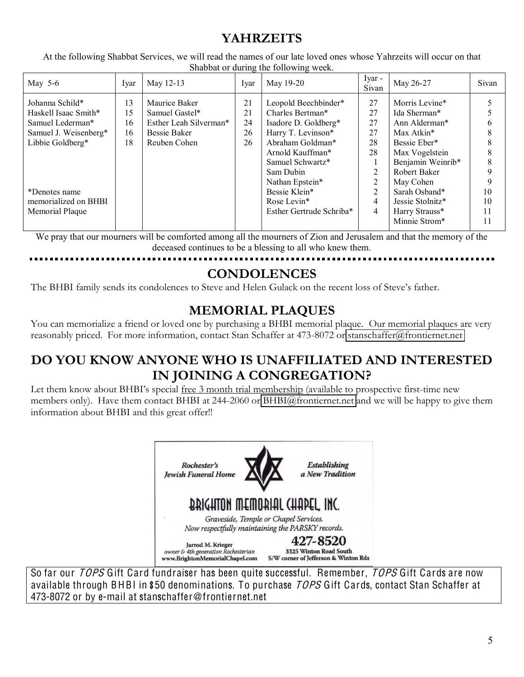## **YAHRZEITS**

At the following Shabbat Services, we will read the names of our late loved ones whose Yahrzeits will occur on that Shabbat or during the following week.

| May $5-6$             | Ivar | May 12-13              | Iyar | May 19-20                | Iyar -<br>Sivan | May 26-27           | Sivan |
|-----------------------|------|------------------------|------|--------------------------|-----------------|---------------------|-------|
| Johanna Schild*       | 13   | Maurice Baker          | 21   | Leopold Beechbinder*     | 27              | Morris Levine*      |       |
| Haskell Isaac Smith*  | 15   | Samuel Gastel*         | 21   | Charles Bertman*         | 27              | Ida Sherman*        |       |
| Samuel Lederman*      | 16   | Esther Leah Silverman* | 24   | Isadore D. Goldberg*     | 27              | Ann Alderman*       |       |
| Samuel J. Weisenberg* | 16   | <b>Bessie Baker</b>    | 26   | Harry T. Levinson*       | 27              | Max Atkin*          |       |
| Libbie Goldberg*      | 18   | Reuben Cohen           | 26   | Abraham Goldman*         | 28              | Bessie Eber*        |       |
|                       |      |                        |      | Arnold Kauffman*         | 28              | Max Vogelstein      |       |
|                       |      |                        |      | Samuel Schwartz*         |                 | Benjamin Weinrib*   |       |
|                       |      |                        |      | Sam Dubin                | 2               | <b>Robert Baker</b> |       |
|                       |      |                        |      | Nathan Epstein*          | $\overline{2}$  | May Cohen           |       |
| *Denotes name         |      |                        |      | Bessie Klein*            | 2               | Sarah Osband*       | 10    |
| memorialized on BHBI  |      |                        |      | Rose Levin*              | 4               | Jessie Stolnitz*    | 10    |
| Memorial Plaque       |      |                        |      | Esther Gertrude Schriba* | 4               | Harry Strauss*      | 11    |
|                       |      |                        |      |                          |                 | Minnie Strom*       |       |

We pray that our mourners will be comforted among all the mourners of Zion and Jerusalem and that the memory of the deceased continues to be a blessing to all who knew them.

#### **CONDOLENCES**

The BHBI family sends its condolences to Steve and Helen Gulack on the recent loss of Steve's father.

## **MEMORIAL PLAQUES**

You can memorialize a friend or loved one by purchasing a BHBI memorial plaque. Our memorial plaques are very reasonably priced. For more information, contact Stan Schaffer at 473-8072 or [stanschaffer@frontiernet.net](mailto:stanschaffer@frontiernet.net)

## **DO YOU KNOW ANYONE WHO IS UNAFFILIATED AND INTERESTED IN JOINING A CONGREGATION?**

Let them know about BHBI's special <u>free 3 month trial membership</u> (available to prospective first-time new members only). Have them contact BHBI at 244-2060 or [BHBI@frontiernet.net](mailto:BHBI@frontiernet.net) and we will be happy to give them information about BHBI and this great offer!!



So far our TOPS Gift Card fundraiser has been quite successful. Remember, TOPS Gift Cards are now available through BHBI in \$50 denominations. To purchase TOPS Gift Cards, contact Stan Schaffer at 473-8072 or by e-mail at stanschaffer@frontiernet.net